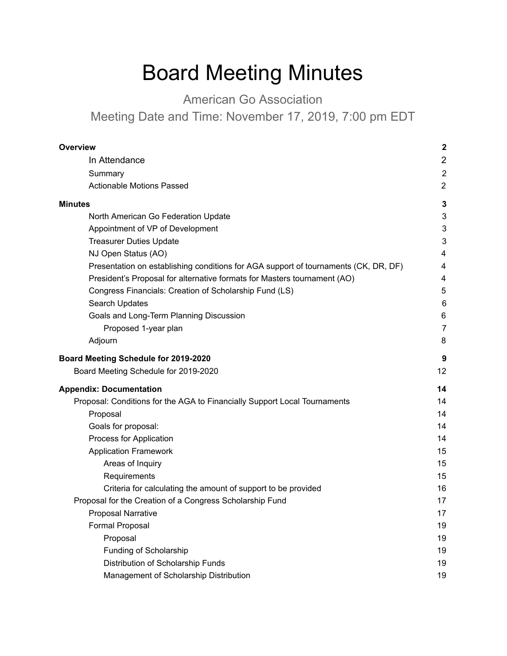# Board Meeting Minutes

American Go Association

Meeting Date and Time: November 17, 2019, 7:00 pm EDT

| Overview                                                                            | $\boldsymbol{2}$ |
|-------------------------------------------------------------------------------------|------------------|
| In Attendance                                                                       | $\overline{2}$   |
| Summary                                                                             | $\boldsymbol{2}$ |
| <b>Actionable Motions Passed</b>                                                    | $\overline{2}$   |
| <b>Minutes</b>                                                                      | 3                |
| North American Go Federation Update                                                 | 3                |
| Appointment of VP of Development                                                    | 3                |
| <b>Treasurer Duties Update</b>                                                      | 3                |
| NJ Open Status (AO)                                                                 | 4                |
| Presentation on establishing conditions for AGA support of tournaments (CK, DR, DF) | 4                |
| President's Proposal for alternative formats for Masters tournament (AO)            | 4                |
| Congress Financials: Creation of Scholarship Fund (LS)                              | 5                |
| Search Updates                                                                      | 6                |
| Goals and Long-Term Planning Discussion                                             | 6                |
| Proposed 1-year plan                                                                | $\overline{7}$   |
| Adjourn                                                                             | 8                |
| Board Meeting Schedule for 2019-2020                                                | 9                |
| Board Meeting Schedule for 2019-2020                                                | 12               |
| <b>Appendix: Documentation</b>                                                      | 14               |
| Proposal: Conditions for the AGA to Financially Support Local Tournaments           | 14               |
| Proposal                                                                            | 14               |
| Goals for proposal:                                                                 | 14               |
| Process for Application                                                             | 14               |
| <b>Application Framework</b>                                                        | 15               |
| Areas of Inquiry                                                                    | 15               |
| Requirements                                                                        | 15               |
| Criteria for calculating the amount of support to be provided                       | 16               |
| Proposal for the Creation of a Congress Scholarship Fund                            | 17               |
| <b>Proposal Narrative</b>                                                           | 17               |
| Formal Proposal                                                                     | 19               |
| Proposal                                                                            | 19               |
| Funding of Scholarship                                                              | 19               |
| Distribution of Scholarship Funds                                                   | 19               |
| Management of Scholarship Distribution                                              | 19               |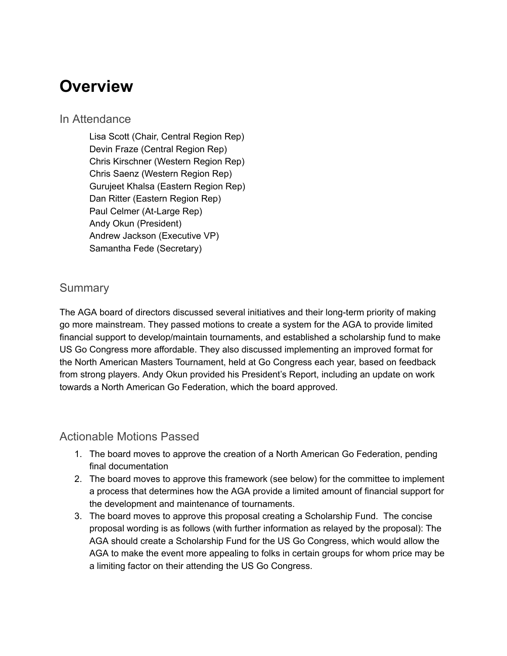### <span id="page-1-0"></span>**Overview**

#### <span id="page-1-1"></span>In Attendance

Lisa Scott (Chair, Central Region Rep) Devin Fraze (Central Region Rep) Chris Kirschner (Western Region Rep) Chris Saenz (Western Region Rep) Gurujeet Khalsa (Eastern Region Rep) Dan Ritter (Eastern Region Rep) Paul Celmer (At-Large Rep) Andy Okun (President) Andrew Jackson (Executive VP) Samantha Fede (Secretary)

#### <span id="page-1-2"></span>**Summary**

The AGA board of directors discussed several initiatives and their long-term priority of making go more mainstream. They passed motions to create a system for the AGA to provide limited financial support to develop/maintain tournaments, and established a scholarship fund to make US Go Congress more affordable. They also discussed implementing an improved format for the North American Masters Tournament, held at Go Congress each year, based on feedback from strong players. Andy Okun provided his President's Report, including an update on work towards a North American Go Federation, which the board approved.

#### <span id="page-1-3"></span>Actionable Motions Passed

- 1. The board moves to approve the creation of a North American Go Federation, pending final documentation
- 2. The board moves to approve this framework (see below) for the committee to implement a process that determines how the AGA provide a limited amount of financial support for the development and maintenance of tournaments.
- 3. The board moves to approve this proposal creating a Scholarship Fund. The concise proposal wording is as follows (with further information as relayed by the proposal): The AGA should create a Scholarship Fund for the US Go Congress, which would allow the AGA to make the event more appealing to folks in certain groups for whom price may be a limiting factor on their attending the US Go Congress.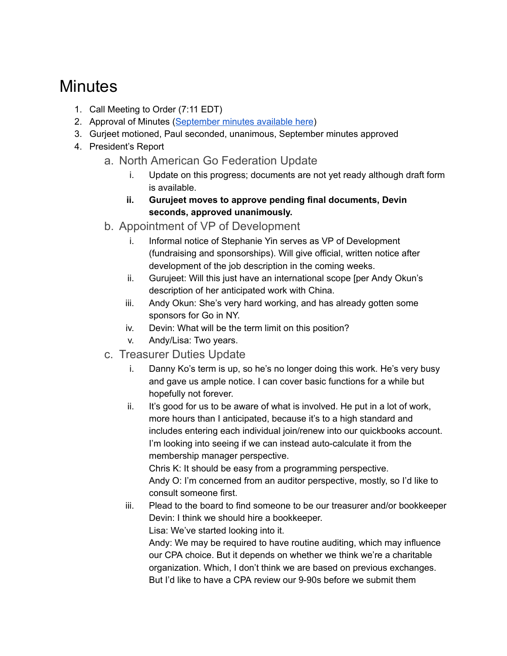### <span id="page-2-0"></span>**Minutes**

- 1. Call Meeting to Order (7:11 EDT)
- 2. Approval of Minutes ([September](https://www.usgo.org/boardminutes/aga-board-minutes-2019-09-08) minutes available here)
- 3. Gurjeet motioned, Paul seconded, unanimous, September minutes approved
- <span id="page-2-2"></span><span id="page-2-1"></span>4. President's Report
	- a. North American Go Federation Update
		- i. Update on this progress; documents are not yet ready although draft form is available.
		- **ii. Gurujeet moves to approve pending final documents, Devin seconds, approved unanimously.**
	- b. Appointment of VP of Development
		- i. Informal notice of Stephanie Yin serves as VP of Development (fundraising and sponsorships). Will give official, written notice after development of the job description in the coming weeks.
		- ii. Gurujeet: Will this just have an international scope [per Andy Okun's description of her anticipated work with China.
		- iii. Andy Okun: She's very hard working, and has already gotten some sponsors for Go in NY.
		- iv. Devin: What will be the term limit on this position?
		- v. Andy/Lisa: Two years.
	- c. Treasurer Duties Update
		- i. Danny Ko's term is up, so he's no longer doing this work. He's very busy and gave us ample notice. I can cover basic functions for a while but hopefully not forever.
		- ii. It's good for us to be aware of what is involved. He put in a lot of work, more hours than I anticipated, because it's to a high standard and includes entering each individual join/renew into our quickbooks account. I'm looking into seeing if we can instead auto-calculate it from the membership manager perspective.

<span id="page-2-3"></span>Chris K: It should be easy from a programming perspective. Andy O: I'm concerned from an auditor perspective, mostly, so I'd like to consult someone first.

iii. Plead to the board to find someone to be our treasurer and/or bookkeeper Devin: I think we should hire a bookkeeper. Lisa: We've started looking into it.

Andy: We may be required to have routine auditing, which may influence our CPA choice. But it depends on whether we think we're a charitable organization. Which, I don't think we are based on previous exchanges. But I'd like to have a CPA review our 9-90s before we submit them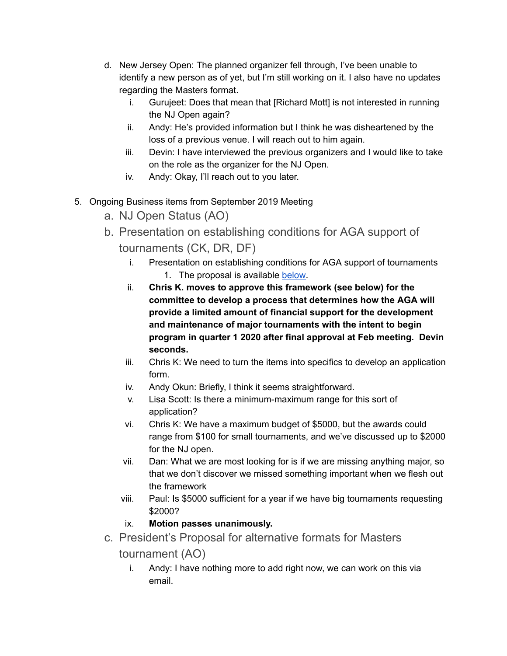- d. New Jersey Open: The planned organizer fell through, I've been unable to identify a new person as of yet, but I'm still working on it. I also have no updates regarding the Masters format.
	- i. Gurujeet: Does that mean that [Richard Mott] is not interested in running the NJ Open again?
	- ii. Andy: He's provided information but I think he was disheartened by the loss of a previous venue. I will reach out to him again.
	- iii. Devin: I have interviewed the previous organizers and I would like to take on the role as the organizer for the NJ Open.
	- iv. Andy: Okay, I'll reach out to you later.
- <span id="page-3-2"></span><span id="page-3-1"></span><span id="page-3-0"></span>5. Ongoing Business items from September 2019 Meeting
	- a. NJ Open Status (AO)
	- b. Presentation on establishing conditions for AGA support of tournaments (CK, DR, DF)
		- i. Presentation on establishing conditions for AGA support of tournaments 1. The proposal is available [below.](#page-10-1)
		- ii. **Chris K. moves to approve this framework (see below) for the committee to develop a process that determines how the AGA will provide a limited amount of financial support for the development and maintenance of major tournaments with the intent to begin program in quarter 1 2020 after final approval at Feb meeting. Devin seconds.**
		- iii. Chris K: We need to turn the items into specifics to develop an application form.
		- iv. Andy Okun: Briefly, I think it seems straightforward.
		- v. Lisa Scott: Is there a minimum-maximum range for this sort of application?
		- vi. Chris K: We have a maximum budget of \$5000, but the awards could range from \$100 for small tournaments, and we've discussed up to \$2000 for the NJ open.
		- vii. Dan: What we are most looking for is if we are missing anything major, so that we don't discover we missed something important when we flesh out the framework
		- viii. Paul: Is \$5000 sufficient for a year if we have big tournaments requesting \$2000?
		- ix. **Motion passes unanimously.**
	- c. President's Proposal for alternative formats for Masters
		- tournament (AO)
			- i. Andy: I have nothing more to add right now, we can work on this via email.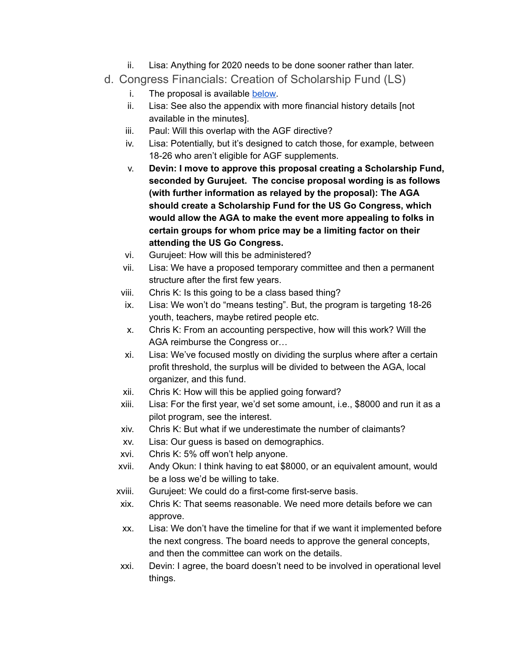- ii. Lisa: Anything for 2020 needs to be done sooner rather than later.
- <span id="page-4-0"></span>d. Congress Financials: Creation of Scholarship Fund (LS)
	- i. The proposal is available [below.](#page-13-0)
	- ii. Lisa: See also the appendix with more financial history details [not available in the minutes].
	- iii. Paul: Will this overlap with the AGF directive?
	- iv. Lisa: Potentially, but it's designed to catch those, for example, between 18-26 who aren't eligible for AGF supplements.
	- v. **Devin: I move to approve this proposal creating a Scholarship Fund, seconded by Gurujeet. The concise proposal wording is as follows (with further information as relayed by the proposal): The AGA should create a Scholarship Fund for the US Go Congress, which would allow the AGA to make the event more appealing to folks in certain groups for whom price may be a limiting factor on their attending the US Go Congress.**
	- vi. Gurujeet: How will this be administered?
	- vii. Lisa: We have a proposed temporary committee and then a permanent structure after the first few years.
	- viii. Chris K: Is this going to be a class based thing?
	- ix. Lisa: We won't do "means testing". But, the program is targeting 18-26 youth, teachers, maybe retired people etc.
	- x. Chris K: From an accounting perspective, how will this work? Will the AGA reimburse the Congress or…
	- xi. Lisa: We've focused mostly on dividing the surplus where after a certain profit threshold, the surplus will be divided to between the AGA, local organizer, and this fund.
	- xii. Chris K: How will this be applied going forward?
	- xiii. Lisa: For the first year, we'd set some amount, i.e., \$8000 and run it as a pilot program, see the interest.
	- xiv. Chris K: But what if we underestimate the number of claimants?
	- xv. Lisa: Our guess is based on demographics.
	- xvi. Chris K: 5% off won't help anyone.
	- xvii. Andy Okun: I think having to eat \$8000, or an equivalent amount, would be a loss we'd be willing to take.
	- xviii. Gurujeet: We could do a first-come first-serve basis.
	- xix. Chris K: That seems reasonable. We need more details before we can approve.
	- xx. Lisa: We don't have the timeline for that if we want it implemented before the next congress. The board needs to approve the general concepts, and then the committee can work on the details.
	- xxi. Devin: I agree, the board doesn't need to be involved in operational level things.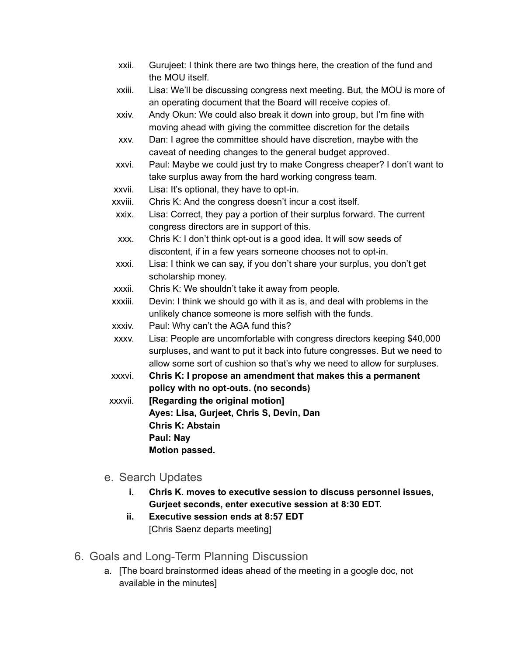- xxii. Gurujeet: I think there are two things here, the creation of the fund and the MOU itself.
- xxiii. Lisa: We'll be discussing congress next meeting. But, the MOU is more of an operating document that the Board will receive copies of.
- xxiv. Andy Okun: We could also break it down into group, but I'm fine with moving ahead with giving the committee discretion for the details
- xxv. Dan: I agree the committee should have discretion, maybe with the caveat of needing changes to the general budget approved.
- xxvi. Paul: Maybe we could just try to make Congress cheaper? I don't want to take surplus away from the hard working congress team.
- xxvii. Lisa: It's optional, they have to opt-in.
- xxviii. Chris K: And the congress doesn't incur a cost itself.
- xxix. Lisa: Correct, they pay a portion of their surplus forward. The current congress directors are in support of this.
- xxx. Chris K: I don't think opt-out is a good idea. It will sow seeds of discontent, if in a few years someone chooses not to opt-in.
- xxxi. Lisa: I think we can say, if you don't share your surplus, you don't get scholarship money.
- xxxii. Chris K: We shouldn't take it away from people.
- xxxiii. Devin: I think we should go with it as is, and deal with problems in the unlikely chance someone is more selfish with the funds.
- xxxiv. Paul: Why can't the AGA fund this?
- xxxv. Lisa: People are uncomfortable with congress directors keeping \$40,000 surpluses, and want to put it back into future congresses. But we need to allow some sort of cushion so that's why we need to allow for surpluses.
- xxxvi. **Chris K: I propose an amendment that makes this a permanent policy with no opt-outs. (no seconds)**
- xxxvii. **[Regarding the original motion] Ayes: Lisa, Gurjeet, Chris S, Devin, Dan Chris K: Abstain Paul: Nay Motion passed.**
- <span id="page-5-0"></span>e. Search Updates
	- **i. Chris K. moves to executive session to discuss personnel issues, Gurjeet seconds, enter executive session at 8:30 EDT.**
	- **ii. Executive session ends at 8:57 EDT** [Chris Saenz departs meeting]
- <span id="page-5-1"></span>6. Goals and Long-Term Planning Discussion
	- a. [The board brainstormed ideas ahead of the meeting in a google doc, not available in the minutes]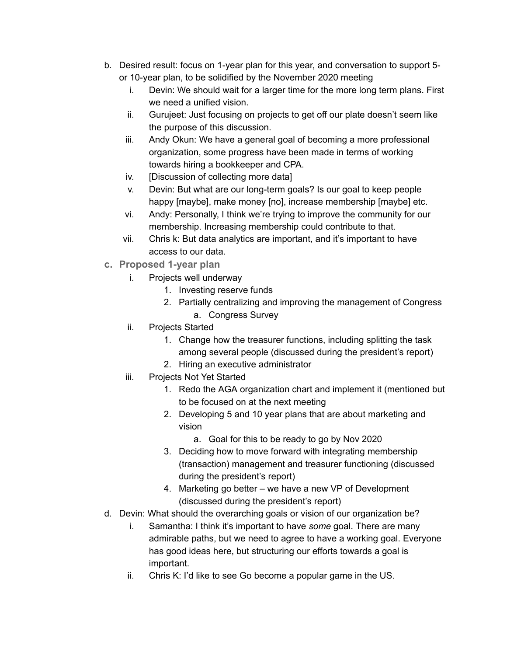- b. Desired result: focus on 1-year plan for this year, and conversation to support 5 or 10-year plan, to be solidified by the November 2020 meeting
	- i. Devin: We should wait for a larger time for the more long term plans. First we need a unified vision.
	- ii. Gurujeet: Just focusing on projects to get off our plate doesn't seem like the purpose of this discussion.
	- iii. Andy Okun: We have a general goal of becoming a more professional organization, some progress have been made in terms of working towards hiring a bookkeeper and CPA.
	- iv. [Discussion of collecting more data]
	- v. Devin: But what are our long-term goals? Is our goal to keep people happy [maybe], make money [no], increase membership [maybe] etc.
	- vi. Andy: Personally, I think we're trying to improve the community for our membership. Increasing membership could contribute to that.
	- vii. Chris k: But data analytics are important, and it's important to have access to our data.
- <span id="page-6-0"></span>**c. Proposed 1-year plan** 
	- i. Projects well underway
		- 1. Investing reserve funds
		- 2. Partially centralizing and improving the management of Congress a. Congress Survey
	- ii. Projects Started
		- 1. Change how the treasurer functions, including splitting the task among several people (discussed during the president's report)
		- 2. Hiring an executive administrator
	- iii. Projects Not Yet Started
		- 1. Redo the AGA organization chart and implement it (mentioned but to be focused on at the next meeting
		- 2. Developing 5 and 10 year plans that are about marketing and vision
			- a. Goal for this to be ready to go by Nov 2020
		- 3. Deciding how to move forward with integrating membership (transaction) management and treasurer functioning (discussed during the president's report)
		- 4. Marketing go better we have a new VP of Development (discussed during the president's report)
- d. Devin: What should the overarching goals or vision of our organization be?
	- i. Samantha: I think it's important to have *some* goal. There are many admirable paths, but we need to agree to have a working goal. Everyone has good ideas here, but structuring our efforts towards a goal is important.
	- ii. Chris K: I'd like to see Go become a popular game in the US.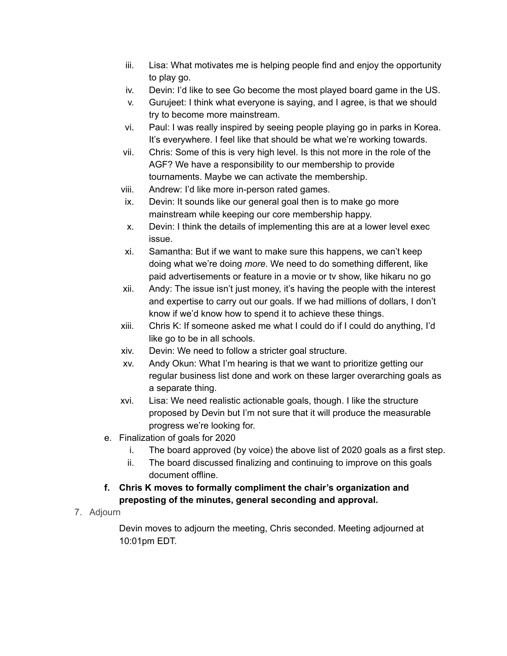- iii. Lisa: What motivates me is helping people find and enjoy the opportunity to play go.
- iv. Devin: I'd like to see Go become the most played board game in the US.
- v. Gurujeet: I think what everyone is saying, and I agree, is that we should try to become more mainstream.
- vi. Paul: I was really inspired by seeing people playing go in parks in Korea. It's everywhere. I feel like that should be what we're working towards.
- vii. Chris: Some of this is very high level. Is this not more in the role of the AGF? We have a responsibility to our membership to provide tournaments. Maybe we can activate the membership.
- viii. Andrew: I'd like more in-person rated games.
- ix. Devin: It sounds like our general goal then is to make go more mainstream while keeping our core membership happy.
- x. Devin: I think the details of implementing this are at a lower level exec issue.
- xi. Samantha: But if we want to make sure this happens, we can't keep doing what we're doing *more*. We need to do something different, like paid advertisements or feature in a movie or tv show, like hikaru no go
- xii. Andy: The issue isn't just money, it's having the people with the interest and expertise to carry out our goals. If we had millions of dollars, I don't know if we'd know how to spend it to achieve these things.
- xiii. Chris K: If someone asked me what I could do if I could do anything, I'd like go to be in all schools.
- xiv. Devin: We need to follow a stricter goal structure.
- xv. Andy Okun: What I'm hearing is that we want to prioritize getting our regular business list done and work on these larger overarching goals as a separate thing.
- xvi. Lisa: We need realistic actionable goals, though. I like the structure proposed by Devin but I'm not sure that it will produce the measurable progress we're looking for.
- e. Finalization of goals for 2020
	- i. The board approved (by voice) the above list of 2020 goals as a first step.
	- ii. The board discussed finalizing and continuing to improve on this goals document offline.

#### **f. Chris K moves to formally compliment the chair's organization and preposting of the minutes, general seconding and approval.**

<span id="page-7-0"></span>7. Adjourn

Devin moves to adjourn the meeting, Chris seconded. Meeting adjourned at 10:01pm EDT.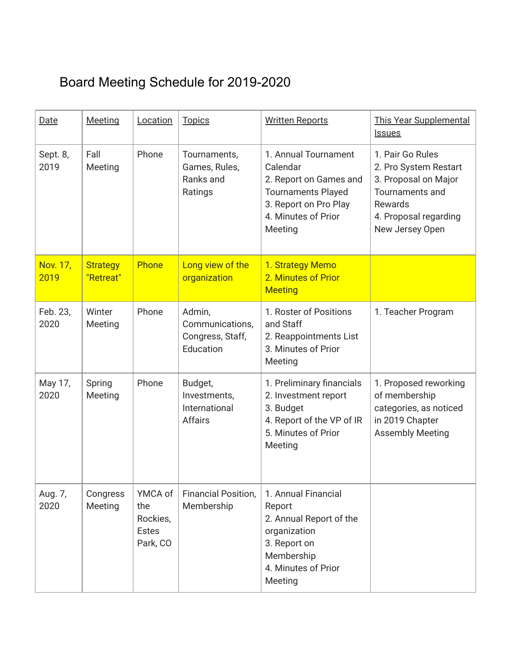## <span id="page-8-0"></span>Board Meeting Schedule for 2019-2020

| Date             | <b>Meeting</b>               | Location                                               | <b>Topics</b>                                              | <b>Written Reports</b>                                                                                                                             | <b>This Year Supplemental</b><br><b>Issues</b>                                                                                                     |
|------------------|------------------------------|--------------------------------------------------------|------------------------------------------------------------|----------------------------------------------------------------------------------------------------------------------------------------------------|----------------------------------------------------------------------------------------------------------------------------------------------------|
| Sept. 8,<br>2019 | Fall<br>Meeting              | Phone                                                  | Tournaments,<br>Games, Rules,<br>Ranks and<br>Ratings      | 1. Annual Tournament<br>Calendar<br>2. Report on Games and<br><b>Tournaments Played</b><br>3. Report on Pro Play<br>4. Minutes of Prior<br>Meeting | 1. Pair Go Rules<br>2. Pro System Restart<br>3. Proposal on Major<br><b>Tournaments and</b><br>Rewards<br>4. Proposal regarding<br>New Jersey Open |
| Nov. 17,<br>2019 | <b>Strategy</b><br>"Retreat" | Phone                                                  | Long view of the<br>organization                           | 1. Strategy Memo<br>2. Minutes of Prior<br><b>Meeting</b>                                                                                          |                                                                                                                                                    |
| Feb. 23,<br>2020 | Winter<br>Meeting            | Phone                                                  | Admin,<br>Communications,<br>Congress, Staff,<br>Education | 1. Roster of Positions<br>and Staff<br>2. Reappointments List<br>3. Minutes of Prior<br>Meeting                                                    | 1. Teacher Program                                                                                                                                 |
| May 17,<br>2020  | Spring<br>Meeting            | Phone                                                  | Budget,<br>Investments,<br>International<br><b>Affairs</b> | 1. Preliminary financials<br>2. Investment report<br>3. Budget<br>4. Report of the VP of IR<br>5. Minutes of Prior<br>Meeting                      | 1. Proposed reworking<br>of membership<br>categories, as noticed<br>in 2019 Chapter<br><b>Assembly Meeting</b>                                     |
| Aug. 7,<br>2020  | Congress<br>Meeting          | YMCA of<br>the<br>Rockies,<br><b>Estes</b><br>Park, CO | <b>Financial Position,</b><br>Membership                   | 1. Annual Financial<br>Report<br>2. Annual Report of the<br>organization<br>3. Report on<br>Membership<br>4. Minutes of Prior<br>Meeting           |                                                                                                                                                    |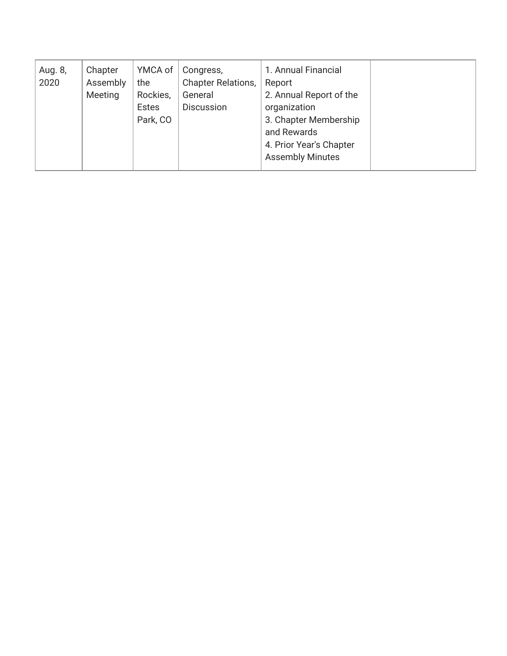| Aug. 8, | Chapter  | YMCA of      | Congress,                 | 1. Annual Financial     |  |
|---------|----------|--------------|---------------------------|-------------------------|--|
| 2020    | Assembly | the          | <b>Chapter Relations,</b> | Report                  |  |
|         | Meeting  | Rockies,     | General                   | 2. Annual Report of the |  |
|         |          | <b>Estes</b> | <b>Discussion</b>         | organization            |  |
|         |          | Park, CO     |                           | 3. Chapter Membership   |  |
|         |          |              |                           | and Rewards             |  |
|         |          |              |                           | 4. Prior Year's Chapter |  |
|         |          |              |                           | <b>Assembly Minutes</b> |  |
|         |          |              |                           |                         |  |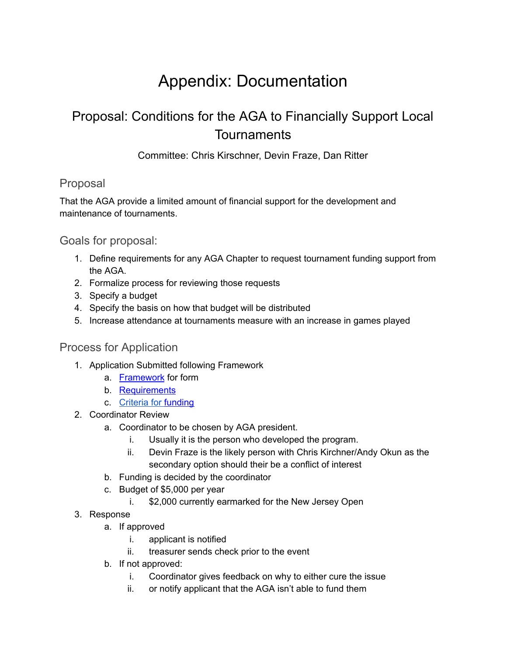# Appendix: Documentation

### <span id="page-10-1"></span><span id="page-10-0"></span>Proposal: Conditions for the AGA to Financially Support Local **Tournaments**

Committee: Chris Kirschner, Devin Fraze, Dan Ritter

#### <span id="page-10-2"></span>Proposal

That the AGA provide a limited amount of financial support for the development and maintenance of tournaments.

<span id="page-10-3"></span>Goals for proposal:

- 1. Define requirements for any AGA Chapter to request tournament funding support from the AGA.
- 2. Formalize process for reviewing those requests
- 3. Specify a budget
- 4. Specify the basis on how that budget will be distributed
- 5. Increase attendance at tournaments measure with an increase in games played

#### <span id="page-10-4"></span>Process for Application

- 1. Application Submitted following Framework
	- a. [Framework](#page-11-0) for form
	- b. [Requirements](#page-11-2)
	- c. Criteria for [funding](#page-12-0)
- 2. Coordinator Review
	- a. Coordinator to be chosen by AGA president.
		- i. Usually it is the person who developed the program.
		- ii. Devin Fraze is the likely person with Chris Kirchner/Andy Okun as the secondary option should their be a conflict of interest
	- b. Funding is decided by the coordinator
	- c. Budget of \$5,000 per year
		- i. \$2,000 currently earmarked for the New Jersey Open
- 3. Response
	- a. If approved
		- i. applicant is notified
		- ii. treasurer sends check prior to the event
	- b. If not approved:
		- i. Coordinator gives feedback on why to either cure the issue
		- ii. or notify applicant that the AGA isn't able to fund them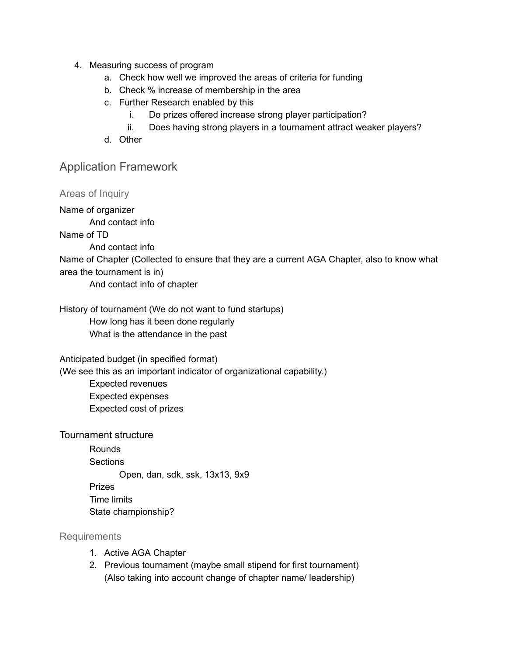- 4. Measuring success of program
	- a. Check how well we improved the areas of criteria for funding
	- b. Check % increase of membership in the area
	- c. Further Research enabled by this
		- i. Do prizes offered increase strong player participation?
		- ii. Does having strong players in a tournament attract weaker players?
	- d. Other

#### <span id="page-11-0"></span>Application Framework

<span id="page-11-1"></span>Areas of Inquiry Name of organizer And contact info Name of TD And contact info Name of Chapter (Collected to ensure that they are a current AGA Chapter, also to know what area the tournament is in) And contact info of chapter History of tournament (We do not want to fund startups) How long has it been done regularly What is the attendance in the past

Anticipated budget (in specified format)

(We see this as an important indicator of organizational capability.)

Expected revenues Expected expenses Expected cost of prizes

Tournament structure

Rounds **Sections** Open, dan, sdk, ssk, 13x13, 9x9 Prizes Time limits State championship?

<span id="page-11-2"></span>Requirements

- 1. Active AGA Chapter
- 2. Previous tournament (maybe small stipend for first tournament) (Also taking into account change of chapter name/ leadership)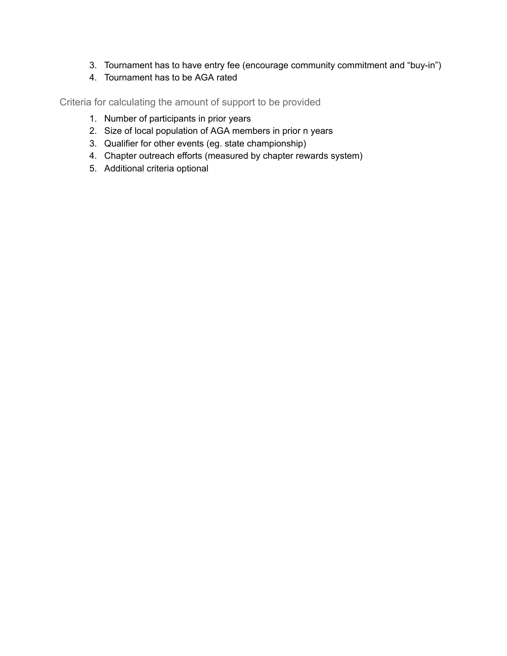- 3. Tournament has to have entry fee (encourage community commitment and "buy-in")
- 4. Tournament has to be AGA rated

<span id="page-12-0"></span>Criteria for calculating the amount of support to be provided

- 1. Number of participants in prior years
- 2. Size of local population of AGA members in prior n years
- 3. Qualifier for other events (eg. state championship)
- 4. Chapter outreach efforts (measured by chapter rewards system)
- 5. Additional criteria optional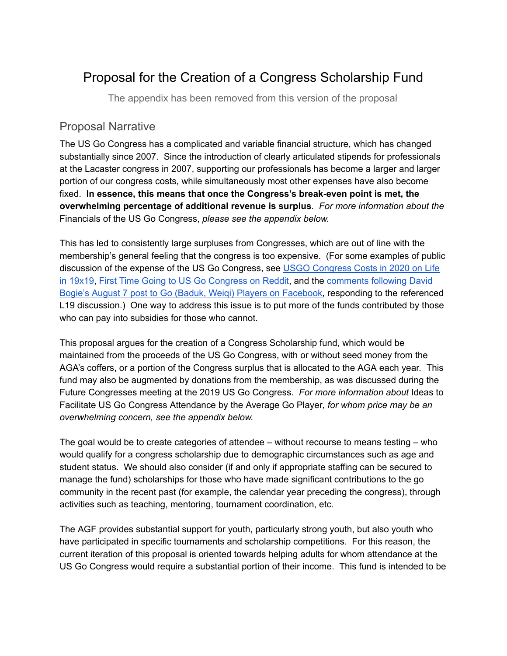### <span id="page-13-0"></span>Proposal for the Creation of a Congress Scholarship Fund

The appendix has been removed from this version of the proposal

#### <span id="page-13-1"></span>Proposal Narrative

The US Go Congress has a complicated and variable financial structure, which has changed substantially since 2007. Since the introduction of clearly articulated stipends for professionals at the Lacaster congress in 2007, supporting our professionals has become a larger and larger portion of our congress costs, while simultaneously most other expenses have also become fixed. **In essence, this means that once the Congress's break-even point is met, the overwhelming percentage of additional revenue is surplus**. *For more information about the* Financials of the US Go Congress, *please see the appendix below.*

This has led to consistently large surpluses from Congresses, which are out of line with the membership's general feeling that the congress is too expensive. (For some examples of public discussion of the expense of the US Go Congress, see USGO [Congress](https://lifein19x19.com/viewtopic.php?f=9&t=16834) Costs in 2020 on Life in [19x19](https://lifein19x19.com/viewtopic.php?f=9&t=16834), First Time Going to US Go [Congress](https://www.reddit.com/r/baduk/comments/bmrb1j/first_time_going_to_us_go_congress/) on Reddit, and the [comments](https://www.facebook.com/groups/go.igo.weiqi.baduk/permalink/10157615522651514/) following David Bogie's August 7 post to Go (Baduk, Weiqi) Players on [Facebook](https://www.facebook.com/groups/go.igo.weiqi.baduk/permalink/10157615522651514/), responding to the referenced L19 discussion.) One way to address this issue is to put more of the funds contributed by those who can pay into subsidies for those who cannot.

This proposal argues for the creation of a Congress Scholarship fund, which would be maintained from the proceeds of the US Go Congress, with or without seed money from the AGA's coffers, or a portion of the Congress surplus that is allocated to the AGA each year. This fund may also be augmented by donations from the membership, as was discussed during the Future Congresses meeting at the 2019 US Go Congress. *For more information about* Ideas to Facilitate US Go Congress Attendance by the Average Go Player*, for whom price may be an overwhelming concern, see the appendix below.*

The goal would be to create categories of attendee – without recourse to means testing – who would qualify for a congress scholarship due to demographic circumstances such as age and student status. We should also consider (if and only if appropriate staffing can be secured to manage the fund) scholarships for those who have made significant contributions to the go community in the recent past (for example, the calendar year preceding the congress), through activities such as teaching, mentoring, tournament coordination, etc.

The AGF provides substantial support for youth, particularly strong youth, but also youth who have participated in specific tournaments and scholarship competitions. For this reason, the current iteration of this proposal is oriented towards helping adults for whom attendance at the US Go Congress would require a substantial portion of their income. This fund is intended to be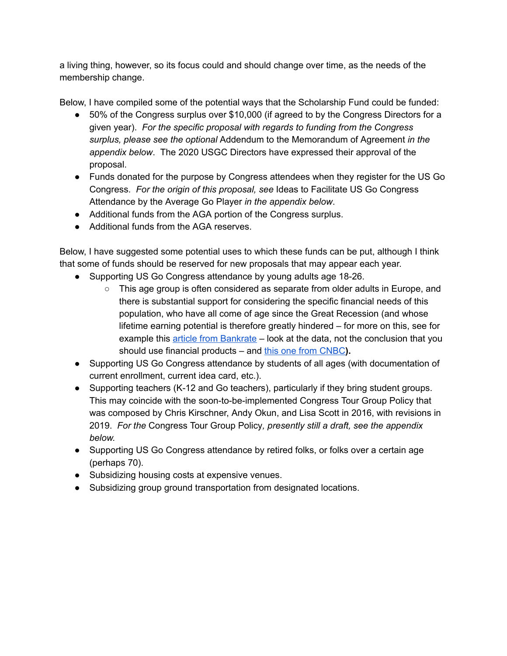a living thing, however, so its focus could and should change over time, as the needs of the membership change.

Below, I have compiled some of the potential ways that the Scholarship Fund could be funded:

- 50% of the Congress surplus over \$10,000 (if agreed to by the Congress Directors for a given year). *For the specific proposal with regards to funding from the Congress surplus, please see the optional* Addendum to the Memorandum of Agreement *in the appendix below*. The 2020 USGC Directors have expressed their approval of the proposal.
- Funds donated for the purpose by Congress attendees when they register for the US Go Congress. *For the origin of this proposal, see* Ideas to Facilitate US Go Congress Attendance by the Average Go Player *in the appendix below*.
- Additional funds from the AGA portion of the Congress surplus.
- Additional funds from the AGA reserves.

Below, I have suggested some potential uses to which these funds can be put, although I think that some of funds should be reserved for new proposals that may appear each year.

- Supporting US Go Congress attendance by young adults age 18-26.
	- This age group is often considered as separate from older adults in Europe, and there is substantial support for considering the specific financial needs of this population, who have all come of age since the Great Recession (and whose lifetime earning potential is therefore greatly hindered – for more on this, see for example this article from [Bankrate](https://www.bankrate.com/personal-finance/millennials-earning/) – look at the data, not the conclusion that you should use financial products – and this one from [CNBC](https://www.cnbc.com/2019/01/11/millennials-households-earn-more-money-than-ever-heres-the-problem.html)).
- Supporting US Go Congress attendance by students of all ages (with documentation of current enrollment, current idea card, etc.).
- Supporting teachers (K-12 and Go teachers), particularly if they bring student groups. This may coincide with the soon-to-be-implemented Congress Tour Group Policy that was composed by Chris Kirschner, Andy Okun, and Lisa Scott in 2016, with revisions in 2019. *For the* Congress Tour Group Policy*, presently still a draft, see the appendix below.*
- Supporting US Go Congress attendance by retired folks, or folks over a certain age (perhaps 70).
- Subsidizing housing costs at expensive venues.
- Subsidizing group ground transportation from designated locations.